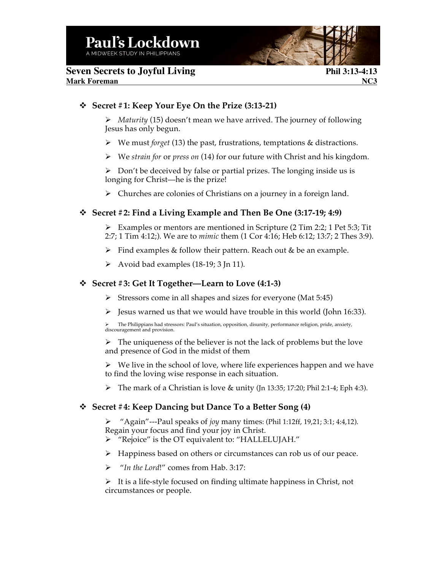# **Seven Secrets to Joyful Living 2.13-4:13 Mark Foreman NC3**

### v **Secret #1: Keep Your Eye On the Prize (3:13-21)**

Ø *Maturity* (15) doesn't mean we have arrived. The journey of following Jesus has only begun.

- Ø We must *forget* (13) the past, frustrations, temptations & distractions.
- Ø We *strain for* or *press on* (14) for our future with Christ and his kingdom.

 $\triangleright$  Don't be deceived by false or partial prizes. The longing inside us is longing for Christ—he is the prize!

 $\triangleright$  Churches are colonies of Christians on a journey in a foreign land.

# v **Secret #2: Find a Living Example and Then Be One (3:17-19; 4:9)**

 $\triangleright$  Examples or mentors are mentioned in Scripture (2 Tim 2:2; 1 Pet 5:3; Tit 2:7; 1 Tim 4:12;). We are to *mimic* them (1 Cor 4:16; Heb 6:12; 13:7; 2 Thes 3:9).

- $\triangleright$  Find examples & follow their pattern. Reach out & be an example.
- $\triangleright$  Avoid bad examples (18-19; 3 Jn 11).

# v **Secret #3: Get It Together—Learn to Love (4:1-3)**

- $\triangleright$  Stressors come in all shapes and sizes for everyone (Mat 5:45)
- $\triangleright$  Jesus warned us that we would have trouble in this world (John 16:33).

The Philippians had stressors: Paul's situation, opposition, disunity, performance religion, pride, anxiety, discouragement and provision.

 $\triangleright$  The uniqueness of the believer is not the lack of problems but the love and presence of God in the midst of them

 $\triangleright$  We live in the school of love, where life experiences happen and we have to find the loving wise response in each situation.

 $\triangleright$  The mark of a Christian is love & unity (Jn 13:35; 17:20; Phil 2:1-4; Eph 4:3).

# v **Secret #4: Keep Dancing but Dance To a Better Song (4)**

Ø "Again"---Paul speaks of *joy* many times: (Phil 1:12ff, 19,21; 3:1; 4:4,12). Regain your focus and find your joy in Christ.

- Ø "Rejoice" is the OT equivalent to: "HALLELUJAH."
- $\triangleright$  Happiness based on others or circumstances can rob us of our peace.
- Ø "*In the Lord*!" comes from Hab. 3:17:

 $\triangleright$  It is a life-style focused on finding ultimate happiness in Christ, not circumstances or people.